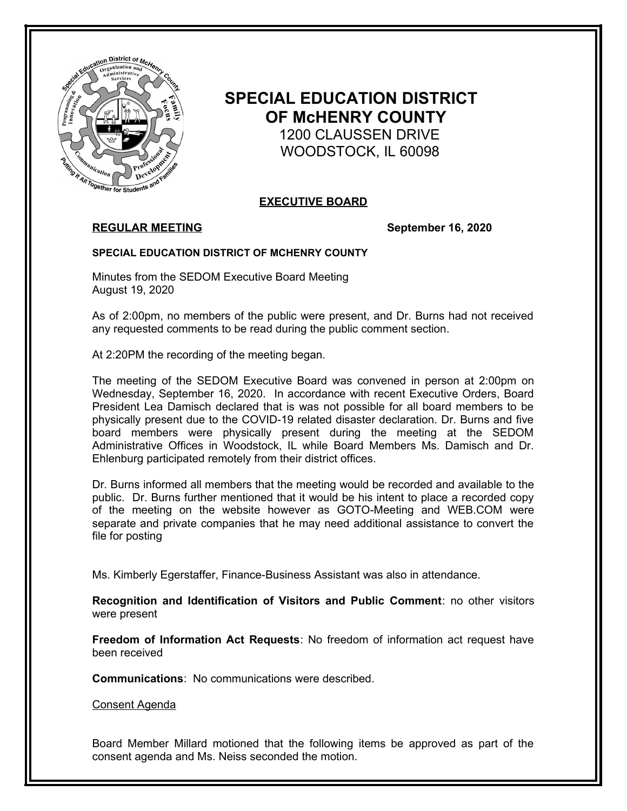

# **SPECIAL EDUCATION DISTRICT OF McHENRY COUNTY** 1200 CLAUSSEN DRIVE

WOODSTOCK, IL 60098

# **EXECUTIVE BOARD**

# **REGULAR MEETING September 16, 2020**

## **SPECIAL EDUCATION DISTRICT OF MCHENRY COUNTY**

Minutes from the SEDOM Executive Board Meeting August 19, 2020

As of 2:00pm, no members of the public were present, and Dr. Burns had not received any requested comments to be read during the public comment section.

At 2:20PM the recording of the meeting began.

The meeting of the SEDOM Executive Board was convened in person at 2:00pm on Wednesday, September 16, 2020. In accordance with recent Executive Orders, Board President Lea Damisch declared that is was not possible for all board members to be physically present due to the COVID-19 related disaster declaration. Dr. Burns and five board members were physically present during the meeting at the SEDOM Administrative Offices in Woodstock, IL while Board Members Ms. Damisch and Dr. Ehlenburg participated remotely from their district offices.

Dr. Burns informed all members that the meeting would be recorded and available to the public. Dr. Burns further mentioned that it would be his intent to place a recorded copy of the meeting on the website however as GOTO-Meeting and WEB.COM were separate and private companies that he may need additional assistance to convert the file for posting

Ms. Kimberly Egerstaffer, Finance-Business Assistant was also in attendance.

**Recognition and Identification of Visitors and Public Comment**: no other visitors were present

**Freedom of Information Act Requests**: No freedom of information act request have been received

**Communications**: No communications were described.

Consent Agenda

Board Member Millard motioned that the following items be approved as part of the consent agenda and Ms. Neiss seconded the motion.